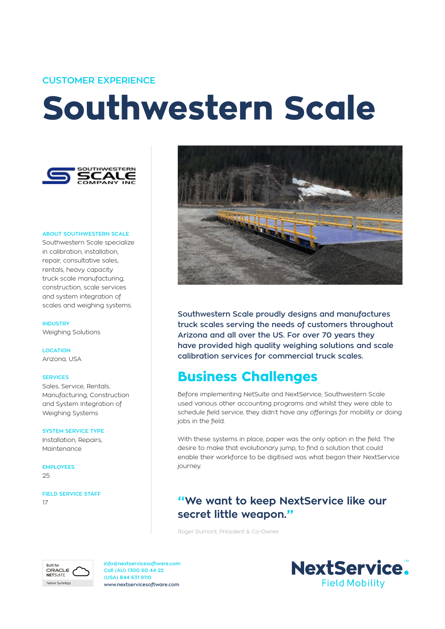### **CUSTOMER EXPERIENCE**

# **Southwestern Scale**



#### **ABOUT SOUTHWESTERN SCALE**

Southwestern Scale specialize in calibration, installation, repair, consultative sales, rentals, heavy capacity truck scale manufacturing, construction, scale services and system integration of scales and weighing systems.

**INDUSTRY** Weighing Solutions

**LOCATION** Arizona, USA

#### **SERVICES**

Sales, Service, Rentals, Manufacturing, Construction and System Integration of Weighing Systems

#### **SYSTEM SERVICE TYPE**

Installation, Repairs, Maintenance

**EMPLOYEES**  $25$ 

**FIELD SERVICE STAFF** 17



**Southwestern Scale proudly designs and manufactures truck scales serving the needs of customers throughout Arizona and all over the US. For over 70 years they have provided high quality weighing solutions and scale calibration services for commercial truck scales.**

## **Business Challenges**

Before implementing NetSuite and NextService, Southwestern Scale used various other accounting programs and whilst they were able to schedule field service, they didn't have any offerings for mobility or doing jobs in the field.

With these systems in place, paper was the only option in the field. The desire to make that evolutionary jump, to find a solution that could enable their workforce to be digitised was what began their NextService journey.

## **"We want to keep NextService like our secret little weapon."**

Roger Dumont, President & Co-Owner



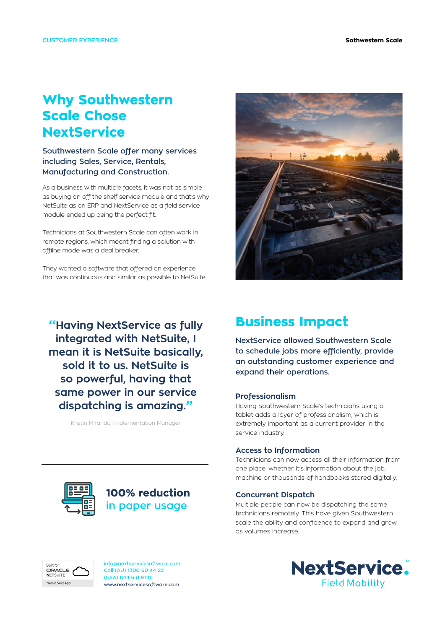# **Why Southwestern Scale Chose NextService**

## **Southwestern Scale offer many services including Sales, Service, Rentals, Manufacturing and Construction.**

As a business with multiple facets, it was not as simple as buying an off the shelf service module and that's why NetSuite as an ERP and NextService as a field service module ended up being the perfect fit.

Technicians at Southwestern Scale can often work in remote regions, which meant finding a solution with offline mode was a deal breaker.

They wanted a software that offered an experience that was continuous and similar as possible to NetSuite.

**"Having NextService as fully integrated with NetSuite, I mean it is NetSuite basically, sold it to us. NetSuite is so powerful, having that same power in our service dispatching is amazing."**

Kristin Miranda, Implementation Manager



# **Business Impact**

**NextService allowed Southwestern Scale to schedule jobs more efficiently, provide an outstanding customer experience and expand their operations.** 

#### **Professionalism**

Having Southwestern Scale's technicians using a tablet adds a layer of professionalism, which is extremely important as a current provider in the service industry.

#### **Access to Information**

Technicians can now access all their information from one place, whether it's information about the job, machine or thousands of handbooks stored digitally.

#### **Concurrent Dispatch**

Multiple people can now be dispatching the same technicians remotely. This have given Southwestern scale the ability and confidence to expand and grow as volumes increase.



## **100% reduction in paper usage**



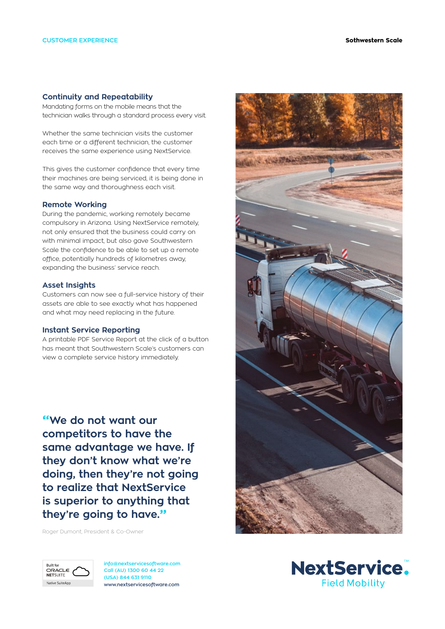#### **Continuity and Repeatability**

Mandating forms on the mobile means that the technician walks through a standard process every visit.

Whether the same technician visits the customer each time or a different technician, the customer receives the same experience using NextService.

This gives the customer confidence that every time their machines are being serviced, it is being done in the same way and thoroughness each visit.

#### **Remote Working**

During the pandemic, working remotely became compulsory in Arizona. Using NextService remotely, not only ensured that the business could carry on with minimal impact, but also gave Southwestern Scale the confidence to be able to set up a remote office, potentially hundreds of kilometres away, expanding the business' service reach.

#### **Asset Insights**

Customers can now see a full-service history of their assets are able to see exactly what has happened and what may need replacing in the future.

#### **Instant Service Reporting**

A printable PDF Service Report at the click of a button has meant that Southwestern Scale's customers can view a complete service history immediately.

**"We do not want our competitors to have the same advantage we have. If they don't know what we're doing, then they're not going to realize that NextService is superior to anything that they're going to have."**

Roger Dumont, President & Co-Owner